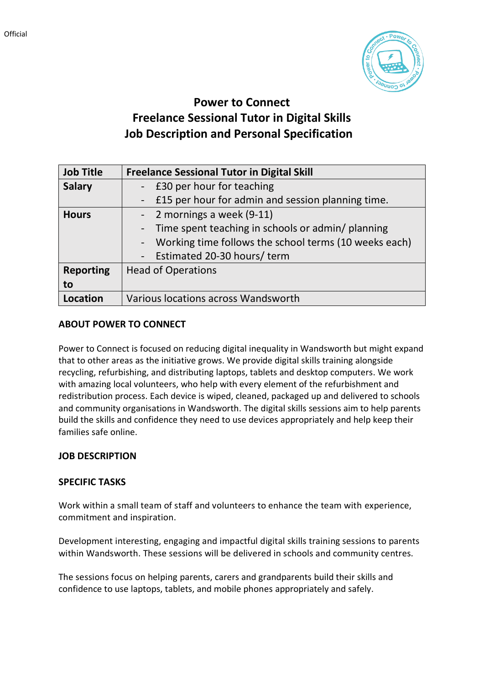

# **Power to Connect Freelance Sessional Tutor in Digital Skills Job Description and Personal Specification**

| <b>Job Title</b> | <b>Freelance Sessional Tutor in Digital Skill</b>     |
|------------------|-------------------------------------------------------|
| <b>Salary</b>    | - £30 per hour for teaching                           |
|                  | - £15 per hour for admin and session planning time.   |
| <b>Hours</b>     | - 2 mornings a week (9-11)                            |
|                  | - Time spent teaching in schools or admin/ planning   |
|                  | Working time follows the school terms (10 weeks each) |
|                  | - Estimated 20-30 hours/term                          |
| <b>Reporting</b> | <b>Head of Operations</b>                             |
| to               |                                                       |
| Location         | Various locations across Wandsworth                   |

# **ABOUT POWER TO CONNECT**

Power to Connect is focused on reducing digital inequality in Wandsworth but might expand that to other areas as the initiative grows. We provide digital skills training alongside recycling, refurbishing, and distributing laptops, tablets and desktop computers. We work with amazing local volunteers, who help with every element of the refurbishment and redistribution process. Each device is wiped, cleaned, packaged up and delivered to schools and community organisations in Wandsworth. The digital skills sessions aim to help parents build the skills and confidence they need to use devices appropriately and help keep their families safe online.

### **JOB DESCRIPTION**

### **SPECIFIC TASKS**

Work within a small team of staff and volunteers to enhance the team with experience, commitment and inspiration.

Development interesting, engaging and impactful digital skills training sessions to parents within Wandsworth. These sessions will be delivered in schools and community centres.

The sessions focus on helping parents, carers and grandparents build their skills and confidence to use laptops, tablets, and mobile phones appropriately and safely.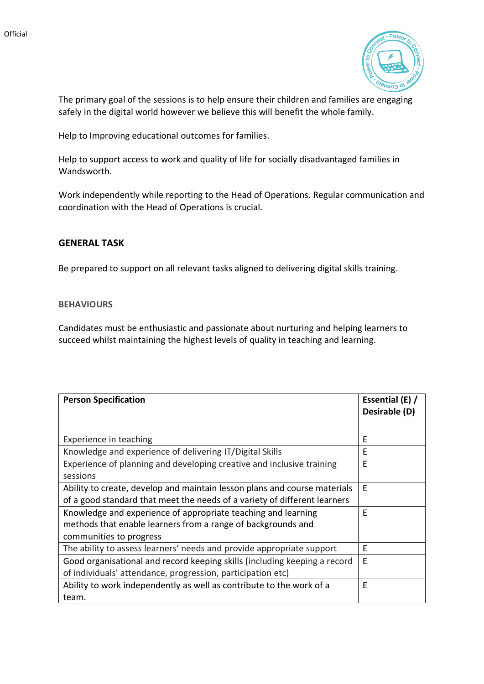

The primary goal of the sessions is to help ensure their children and families are engaging safely in the digital world however we believe this will benefit the whole family.

Help to Improving educational outcomes for families.

Help to support access to work and quality of life for socially disadvantaged families in Wandsworth.

Work independently while reporting to the Head of Operations. Regular communication and coordination with the Head of Operations is crucial.

### **GENERAL TASK**

Be prepared to support on all relevant tasks aligned to delivering digital skills training.

#### **BEHAVIOURS**

Candidates must be enthusiastic and passionate about nurturing and helping learners to succeed whilst maintaining the highest levels of quality in teaching and learning.

| <b>Person Specification</b>                                               | Essential (E) / |
|---------------------------------------------------------------------------|-----------------|
|                                                                           | Desirable (D)   |
|                                                                           |                 |
| Experience in teaching                                                    | E               |
| Knowledge and experience of delivering IT/Digital Skills                  | E               |
| Experience of planning and developing creative and inclusive training     | E               |
| sessions                                                                  |                 |
| Ability to create, develop and maintain lesson plans and course materials | E               |
| of a good standard that meet the needs of a variety of different learners |                 |
| Knowledge and experience of appropriate teaching and learning             | E               |
| methods that enable learners from a range of backgrounds and              |                 |
| communities to progress                                                   |                 |
| The ability to assess learners' needs and provide appropriate support     | E               |
| Good organisational and record keeping skills (including keeping a record | E               |
| of individuals' attendance, progression, participation etc)               |                 |
| Ability to work independently as well as contribute to the work of a      | E               |
| team.                                                                     |                 |